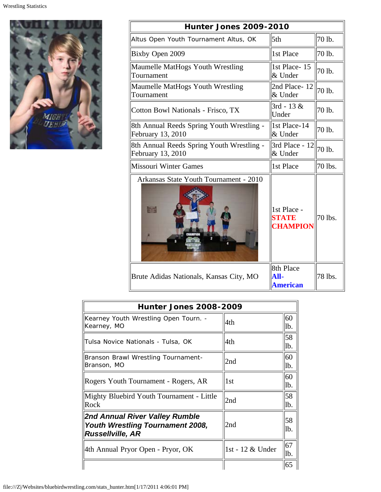

| <b>Hunter Jones 2009-2010</b>                                  |                                                |         |  |  |
|----------------------------------------------------------------|------------------------------------------------|---------|--|--|
| Altus Open Youth Tournament Altus, OK                          | 5th                                            | 70 lb.  |  |  |
| Bixby Open 2009                                                | 1st Place                                      | 70 lb.  |  |  |
| Maumelle MatHogs Youth Wrestling<br>Tournament                 | 1st Place - 15<br>& Under                      | 70 lb.  |  |  |
| Maumelle MatHogs Youth Wrestling<br>Tournament                 | 2nd Place-12<br>& Under                        | 70 lb.  |  |  |
| Cotton Bowl Nationals - Frisco, TX                             | $3rd - 13$ &<br>Under                          | 70 lb.  |  |  |
| 8th Annual Reeds Spring Youth Wrestling -<br>February 13, 2010 | 1st Place-14<br>& Under                        | 70 lb.  |  |  |
| 8th Annual Reeds Spring Youth Wrestling -<br>February 13, 2010 | 3rd Place - 12<br>& Under                      | 70 lb.  |  |  |
| <b>Missouri Winter Games</b>                                   | 1st Place                                      | 70 lbs. |  |  |
| Arkansas State Youth Tournament - 2010                         | 1st Place -<br><b>STATE</b><br><b>CHAMPION</b> | 70 lbs. |  |  |
| Brute Adidas Nationals, Kansas City, MO                        | 8th Place<br>All-<br><b>American</b>           | 78 lbs. |  |  |

| <b>Hunter Jones 2008-2009</b>                                                                        |                  |            |  |
|------------------------------------------------------------------------------------------------------|------------------|------------|--|
| Kearney Youth Wrestling Open Tourn. -<br>Kearney, MO                                                 | 4th              | 60<br>Ib.  |  |
| Tulsa Novice Nationals - Tulsa, OK                                                                   | 4th.             | 58<br>lb.  |  |
| Branson Brawl Wrestling Tournament-<br>Branson, MO                                                   | 2nd              | 60<br>lb.  |  |
| Rogers Youth Tournament - Rogers, AR                                                                 | 1st              | 60<br>lb.  |  |
| Mighty Bluebird Youth Tournament - Little<br>Rock                                                    | 2nd              | 58<br>lb.  |  |
| 2nd Annual River Valley Rumble<br><b>Youth Wrestling Tournament 2008,</b><br><b>Russellville, AR</b> | 2nd              | 58<br>lb.  |  |
| 4th Annual Pryor Open - Pryor, OK                                                                    | 1st - 12 & Under | 67<br>llb. |  |
|                                                                                                      |                  | 65         |  |